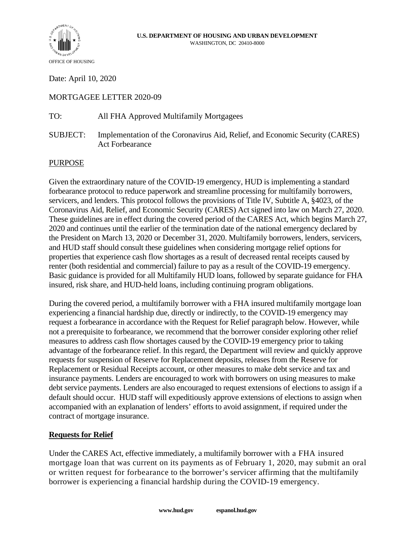

Date: April 10, 2020

# MORTGAGEE LETTER 2020-09

TO: All FHA Approved Multifamily Mortgagees

SUBJECT: Implementation of the Coronavirus Aid, Relief, and Economic Security (CARES) Act Forbearance

### PURPOSE

Given the extraordinary nature of the COVID-19 emergency, HUD is implementing a standard forbearance protocol to reduce paperwork and streamline processing for multifamily borrowers, servicers, and lenders. This protocol follows the provisions of Title IV, Subtitle A, §4023, of the Coronavirus Aid, Relief, and Economic Security (CARES) Act signed into law on March 27, 2020. These guidelines are in effect during the covered period of the CARES Act, which begins March 27, 2020 and continues until the earlier of the termination date of the national emergency declared by the President on March 13, 2020 or December 31, 2020. Multifamily borrowers, lenders, servicers, and HUD staff should consult these guidelines when considering mortgage relief options for properties that experience cash flow shortages as a result of decreased rental receipts caused by renter (both residential and commercial) failure to pay as a result of the COVID-19 emergency. Basic guidance is provided for all Multifamily HUD loans, followed by separate guidance for FHA insured, risk share, and HUD-held loans, including continuing program obligations.

During the covered period, a multifamily borrower with a FHA insured multifamily mortgage loan experiencing a financial hardship due, directly or indirectly, to the COVID-19 emergency may request a forbearance in accordance with the Request for Relief paragraph below. However, while not a prerequisite to forbearance, we recommend that the borrower consider exploring other relief measures to address cash flow shortages caused by the COVID-19 emergency prior to taking advantage of the forbearance relief. In this regard, the Department will review and quickly approve requests for suspension of Reserve for Replacement deposits, releases from the Reserve for Replacement or Residual Receipts account, or other measures to make debt service and tax and insurance payments. Lenders are encouraged to work with borrowers on using measures to make debt service payments. Lenders are also encouraged to request extensions of elections to assign if a default should occur. HUD staff will expeditiously approve extensions of elections to assign when accompanied with an explanation of lenders' efforts to avoid assignment, if required under the contract of mortgage insurance.

### **Requests for Relief**

Under the CARES Act, effective immediately, a multifamily borrower with a FHA insured mortgage loan that was current on its payments as of February 1, 2020, may submit an oral or written request for forbearance to the borrower's servicer affirming that the multifamily borrower is experiencing a financial hardship during the COVID-19 emergency.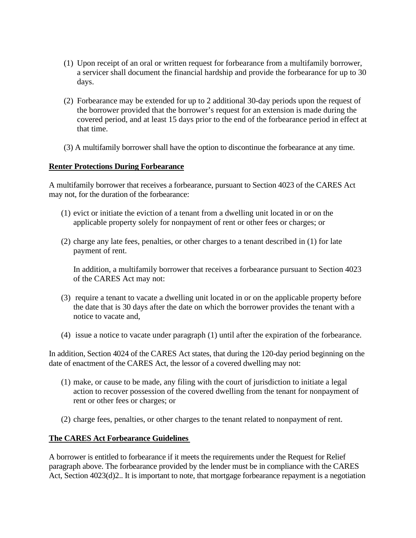- (1) Upon receipt of an oral or written request for forbearance from a multifamily borrower, a servicer shall document the financial hardship and provide the forbearance for up to 30 days.
- (2) Forbearance may be extended for up to 2 additional 30-day periods upon the request of the borrower provided that the borrower's request for an extension is made during the covered period, and at least 15 days prior to the end of the forbearance period in effect at that time.
- (3) A multifamily borrower shall have the option to discontinue the forbearance at any time.

### **Renter Protections During Forbearance**

A multifamily borrower that receives a forbearance, pursuant to Section 4023 of the CARES Act may not, for the duration of the forbearance:

- (1) evict or initiate the eviction of a tenant from a dwelling unit located in or on the applicable property solely for nonpayment of rent or other fees or charges; or
- (2) charge any late fees, penalties, or other charges to a tenant described in (1) for late payment of rent.

In addition, a multifamily borrower that receives a forbearance pursuant to Section 4023 of the CARES Act may not:

- (3) require a tenant to vacate a dwelling unit located in or on the applicable property before the date that is 30 days after the date on which the borrower provides the tenant with a notice to vacate and,
- (4) issue a notice to vacate under paragraph (1) until after the expiration of the forbearance.

In addition, Section 4024 of the CARES Act states, that during the 120-day period beginning on the date of enactment of the CARES Act, the lessor of a covered dwelling may not:

- (1) make, or cause to be made, any filing with the court of jurisdiction to initiate a legal action to recover possession of the covered dwelling from the tenant for nonpayment of rent or other fees or charges; or
- (2) charge fees, penalties, or other charges to the tenant related to nonpayment of rent.

### **The CARES Act Forbearance Guidelines**

A borrower is entitled to forbearance if it meets the requirements under the Request for Relief paragraph above. The forbearance provided by the lender must be in compliance with the CARES Act, Section 4023(d)2.. It is important to note, that mortgage forbearance repayment is a negotiation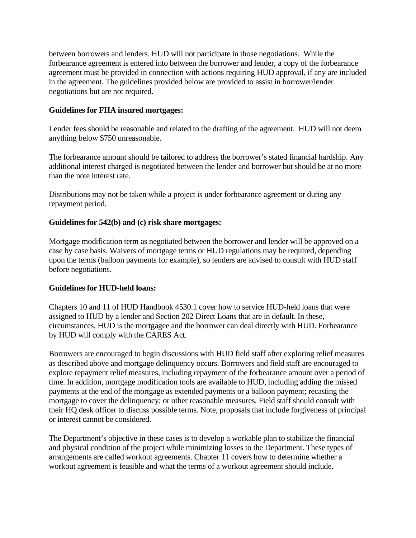between borrowers and lenders. HUD will not participate in those negotiations. While the forbearance agreement is entered into between the borrower and lender, a copy of the forbearance agreement must be provided in connection with actions requiring HUD approval, if any are included in the agreement. The guidelines provided below are provided to assist in borrower/lender negotiations but are not required.

## **Guidelines for FHA insured mortgages:**

Lender fees should be reasonable and related to the drafting of the agreement. HUD will not deem anything below \$750 unreasonable.

The forbearance amount should be tailored to address the borrower's stated financial hardship. Any additional interest charged is negotiated between the lender and borrower but should be at no more than the note interest rate.

Distributions may not be taken while a project is under forbearance agreement or during any repayment period.

### **Guidelines for 542(b) and (c) risk share mortgages:**

Mortgage modification term as negotiated between the borrower and lender will be approved on a case by case basis. Waivers of mortgage terms or HUD regulations may be required, depending upon the terms (balloon payments for example), so lenders are advised to consult with HUD staff before negotiations.

### **Guidelines for HUD-held loans:**

Chapters 10 and 11 of HUD Handbook 4530.1 cover how to service HUD-held loans that were assigned to HUD by a lender and Section 202 Direct Loans that are in default. In these, circumstances, HUD is the mortgagee and the borrower can deal directly with HUD. Forbearance by HUD will comply with the CARES Act.

Borrowers are encouraged to begin discussions with HUD field staff after exploring relief measures as described above and mortgage delinquency occurs. Borrowers and field staff are encouraged to explore repayment relief measures, including repayment of the forbearance amount over a period of time. In addition, mortgage modification tools are available to HUD, including adding the missed payments at the end of the mortgage as extended payments or a balloon payment; recasting the mortgage to cover the delinquency; or other reasonable measures. Field staff should consult with their HQ desk officer to discuss possible terms. Note, proposals that include forgiveness of principal or interest cannot be considered.

The Department's objective in these cases is to develop a workable plan to stabilize the financial and physical condition of the project while minimizing losses to the Department. These types of arrangements are called workout agreements. Chapter 11 covers how to determine whether a workout agreement is feasible and what the terms of a workout agreement should include.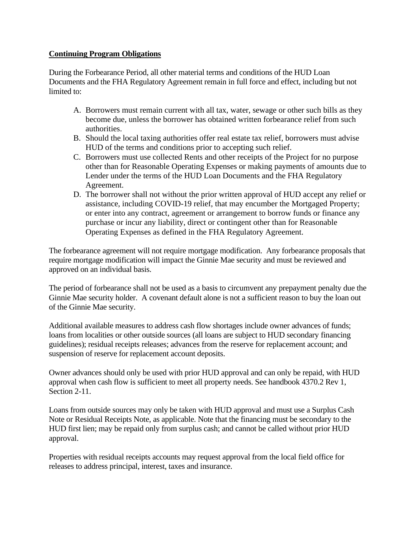## **Continuing Program Obligations**

During the Forbearance Period, all other material terms and conditions of the HUD Loan Documents and the FHA Regulatory Agreement remain in full force and effect, including but not limited to:

- A. Borrowers must remain current with all tax, water, sewage or other such bills as they become due, unless the borrower has obtained written forbearance relief from such authorities.
- B. Should the local taxing authorities offer real estate tax relief, borrowers must advise HUD of the terms and conditions prior to accepting such relief.
- C. Borrowers must use collected Rents and other receipts of the Project for no purpose other than for Reasonable Operating Expenses or making payments of amounts due to Lender under the terms of the HUD Loan Documents and the FHA Regulatory Agreement.
- D. The borrower shall not without the prior written approval of HUD accept any relief or assistance, including COVID-19 relief, that may encumber the Mortgaged Property; or enter into any contract, agreement or arrangement to borrow funds or finance any purchase or incur any liability, direct or contingent other than for Reasonable Operating Expenses as defined in the FHA Regulatory Agreement.

The forbearance agreement will not require mortgage modification. Any forbearance proposals that require mortgage modification will impact the Ginnie Mae security and must be reviewed and approved on an individual basis.

The period of forbearance shall not be used as a basis to circumvent any prepayment penalty due the Ginnie Mae security holder. A covenant default alone is not a sufficient reason to buy the loan out of the Ginnie Mae security.

Additional available measures to address cash flow shortages include owner advances of funds; loans from localities or other outside sources (all loans are subject to HUD secondary financing guidelines); residual receipts releases; advances from the reserve for replacement account; and suspension of reserve for replacement account deposits.

Owner advances should only be used with prior HUD approval and can only be repaid, with HUD approval when cash flow is sufficient to meet all property needs. See handbook 4370.2 Rev 1, Section 2-11.

Loans from outside sources may only be taken with HUD approval and must use a Surplus Cash Note or Residual Receipts Note, as applicable. Note that the financing must be secondary to the HUD first lien; may be repaid only from surplus cash; and cannot be called without prior HUD approval.

Properties with residual receipts accounts may request approval from the local field office for releases to address principal, interest, taxes and insurance.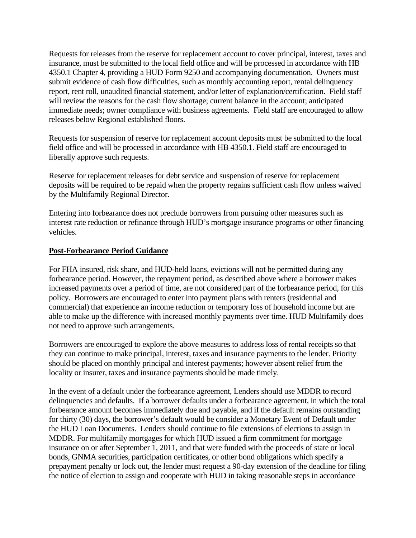Requests for releases from the reserve for replacement account to cover principal, interest, taxes and insurance, must be submitted to the local field office and will be processed in accordance with HB 4350.1 Chapter 4, providing a HUD Form 9250 and accompanying documentation. Owners must submit evidence of cash flow difficulties, such as monthly accounting report, rental delinquency report, rent roll, unaudited financial statement, and/or letter of explanation/certification. Field staff will review the reasons for the cash flow shortage; current balance in the account; anticipated immediate needs; owner compliance with business agreements. Field staff are encouraged to allow releases below Regional established floors.

Requests for suspension of reserve for replacement account deposits must be submitted to the local field office and will be processed in accordance with HB 4350.1. Field staff are encouraged to liberally approve such requests.

Reserve for replacement releases for debt service and suspension of reserve for replacement deposits will be required to be repaid when the property regains sufficient cash flow unless waived by the Multifamily Regional Director.

Entering into forbearance does not preclude borrowers from pursuing other measures such as interest rate reduction or refinance through HUD's mortgage insurance programs or other financing vehicles.

### **Post-Forbearance Period Guidance**

For FHA insured, risk share, and HUD-held loans, evictions will not be permitted during any forbearance period. However, the repayment period, as described above where a borrower makes increased payments over a period of time, are not considered part of the forbearance period, for this policy. Borrowers are encouraged to enter into payment plans with renters (residential and commercial) that experience an income reduction or temporary loss of household income but are able to make up the difference with increased monthly payments over time. HUD Multifamily does not need to approve such arrangements.

Borrowers are encouraged to explore the above measures to address loss of rental receipts so that they can continue to make principal, interest, taxes and insurance payments to the lender. Priority should be placed on monthly principal and interest payments; however absent relief from the locality or insurer, taxes and insurance payments should be made timely.

In the event of a default under the forbearance agreement, Lenders should use MDDR to record delinquencies and defaults. If a borrower defaults under a forbearance agreement, in which the total forbearance amount becomes immediately due and payable, and if the default remains outstanding for thirty (30) days, the borrower's default would be consider a Monetary Event of Default under the HUD Loan Documents. Lenders should continue to file extensions of elections to assign in MDDR. For multifamily mortgages for which HUD issued a firm commitment for mortgage insurance on or after September 1, 2011, and that were funded with the proceeds of state or local bonds, GNMA securities, participation certificates, or other bond obligations which specify a prepayment penalty or lock out, the lender must request a 90-day extension of the deadline for filing the notice of election to assign and cooperate with HUD in taking reasonable steps in accordance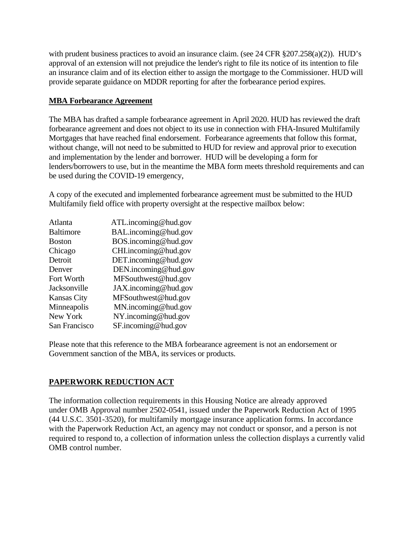with prudent business practices to avoid an insurance claim. (see 24 CFR §207.258(a)(2)). HUD's approval of an extension will not prejudice the lender's right to file its notice of its intention to file an insurance claim and of its election either to assign the mortgage to the Commissioner. HUD will provide separate guidance on MDDR reporting for after the forbearance period expires.

## **MBA Forbearance Agreement**

The MBA has drafted a sample forbearance agreement in April 2020. HUD has reviewed the draft forbearance agreement and does not object to its use in connection with FHA-Insured Multifamily Mortgages that have reached final endorsement. Forbearance agreements that follow this format, without change, will not need to be submitted to HUD for review and approval prior to execution and implementation by the lender and borrower. HUD will be developing a form for lenders/borrowers to use, but in the meantime the MBA form meets threshold requirements and can be used during the COVID-19 emergency,

A copy of the executed and implemented forbearance agreement must be submitted to the HUD Multifamily field office with property oversight at the respective mailbox below:

| Atlanta            | ATL.incoming@hud.gov |
|--------------------|----------------------|
| <b>Baltimore</b>   | BAL.incoming@hud.gov |
| <b>Boston</b>      | BOS.incoming@hud.gov |
| Chicago            | CHI.incoming@hud.gov |
| Detroit            | DET.incoming@hud.gov |
| Denver             | DEN.incoming@hud.gov |
| Fort Worth         | MFSouthwest@hud.gov  |
| Jacksonville       | JAX.incoming@hud.gov |
| <b>Kansas City</b> | MFSouthwest@hud.gov  |
| Minneapolis        | MN.incoming@hud.gov  |
| New York           | NY.incoming@hud.gov  |
| San Francisco      | SF.incoming@hud.gov  |

Please note that this reference to the MBA forbearance agreement is not an endorsement or Government sanction of the MBA, its services or products.

# **PAPERWORK REDUCTION ACT**

The information collection requirements in this Housing Notice are already approved under OMB Approval number 2502-0541, issued under the Paperwork Reduction Act of 1995 (44 U.S.C. 3501-3520), for multifamily mortgage insurance application forms. In accordance with the Paperwork Reduction Act, an agency may not conduct or sponsor, and a person is not required to respond to, a collection of information unless the collection displays a currently valid OMB control number.